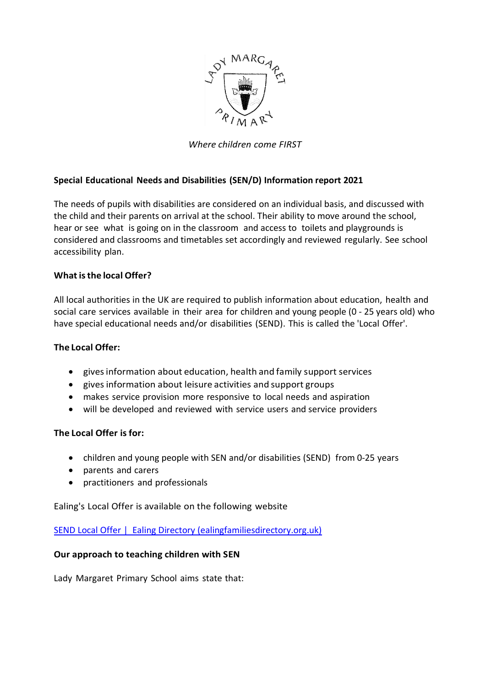

*Where children come FIRST*

### **Special Educational Needs and Disabilities (SEN/D) Information report 2021**

The needs of pupils with disabilities are considered on an individual basis, and discussed with the child and their parents on arrival at the school. Their ability to move around the school, hear or see what is going on in the classroom and access to toilets and playgrounds is considered and classrooms and timetables set accordingly and reviewed regularly. See school accessibility plan.

### **What isthe local Offer?**

All local authorities in the UK are required to publish information about education, health and social care services available in their area for children and young people (0 - 25 years old) who have special educational needs and/or disabilities (SEND). This is called the 'Local Offer'.

### **The Local Offer:**

- givesinformation about education, health and family support services
- gives information about leisure activities and support groups
- makes service provision more responsive to local needs and aspiration
- will be developed and reviewed with service users and service providers

### **The Local Offer is for:**

- children and young people with SEN and/or disabilities (SEND) from 0-25 years
- parents and carers
- practitioners and professionals

Ealing's Local Offer is available on the following website

SEND Local Offer | [Ealing Directory \(ealingfamiliesdirectory.org.uk\)](https://www.ealingfamiliesdirectory.org.uk/kb5/ealing/directory/localoffer.page?localofferchannelnew=0)

### **Our approach to teaching children with SEN**

Lady Margaret Primary School aims state that: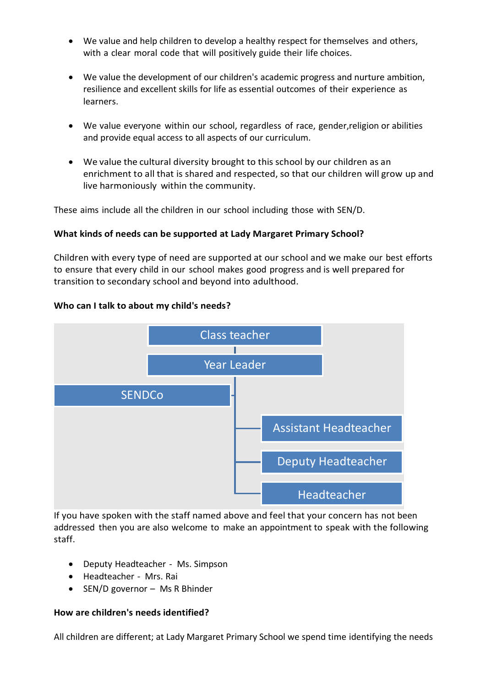- We value and help children to develop a healthy respect for themselves and others, with a clear moral code that will positively guide their life choices.
- We value the development of our children's academic progress and nurture ambition, resilience and excellent skills for life as essential outcomes of their experience as learners.
- We value everyone within our school, regardless of race, gender,religion or abilities and provide equal access to all aspects of our curriculum.
- We value the cultural diversity brought to this school by our children as an enrichment to all that is shared and respected, so that our children will grow up and live harmoniously within the community.

These aims include all the children in our school including those with SEN/D.

## **What kinds of needs can be supported at Lady Margaret Primary School?**

Children with every type of need are supported at our school and we make our best efforts to ensure that every child in our school makes good progress and is well prepared for transition to secondary school and beyond into adulthood.

### **Who can I talk to about my child's needs?**



If you have spoken with the staff named above and feel that your concern has not been addressed then you are also welcome to make an appointment to speak with the following staff.

- Deputy Headteacher Ms. Simpson
- Headteacher Mrs. Rai
- SEN/D governor Ms R Bhinder

### **How are children's needs identified?**

All children are different; at Lady Margaret Primary School we spend time identifying the needs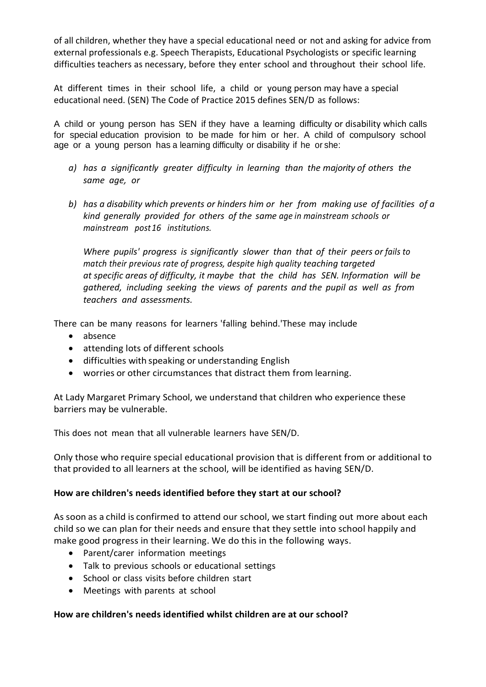of all children, whether they have a special educational need or not and asking for advice from external professionals e.g. Speech Therapists, Educational Psychologists or specific learning difficulties teachers as necessary, before they enter school and throughout their school life.

At different times in their school life, a child or young person may have a special educational need. (SEN) The Code of Practice 2015 defines SEN/D as follows:

A child or young person has SEN if they have a learning difficulty or disability which calls for special education provision to be made for him or her. A child of compulsory school age or a young person has a learning difficulty or disability if he or she:

- *a) has a significantly greater difficulty in learning than the majority of others the same age, or*
- *b) has a disability which prevents or hinders him or her from making use of facilities of a kind generally provided for others of the same age in mainstream schools or mainstream post16 institutions.*

*Where pupils' progress is significantly slower than that of their peers or fails to match their previous rate of progress, despite high quality teaching targeted at specific areas of difficulty, it maybe that the child has SEN. Information will be gathered, including seeking the views of parents and the pupil as well as from teachers and assessments.*

There can be many reasons for learners 'falling behind.'These may include

- absence
- attending lots of different schools
- difficulties with speaking or understanding English
- worries or other circumstances that distract them from learning.

At Lady Margaret Primary School, we understand that children who experience these barriers may be vulnerable.

This does not mean that all vulnerable learners have SEN/D.

Only those who require special educational provision that is different from or additional to that provided to all learners at the school, will be identified as having SEN/D.

### **How are children's needs identified before they start at our school?**

As soon as a child is confirmed to attend our school, we start finding out more about each child so we can plan for their needs and ensure that they settle into school happily and make good progress in their learning. We do this in the following ways.

- Parent/carer information meetings
- Talk to previous schools or educational settings
- School or class visits before children start
- Meetings with parents at school

### **How are children's needs identified whilst children are at our school?**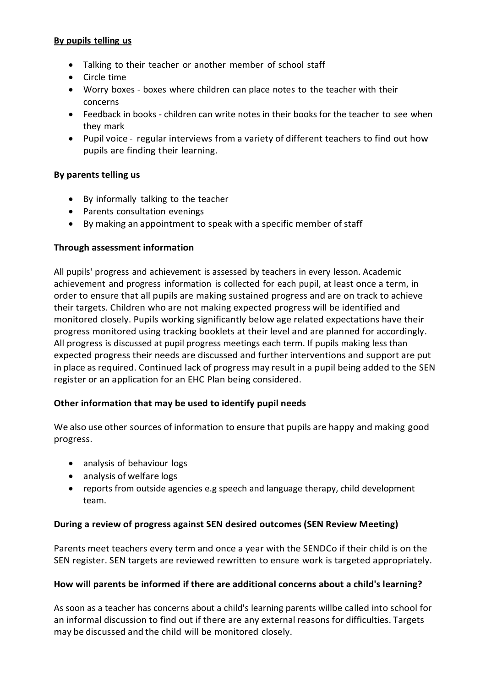### **By pupils telling us**

- Talking to their teacher or another member of school staff
- Circle time
- Worry boxes boxes where children can place notes to the teacher with their concerns
- Feedback in books children can write notes in their books for the teacher to see when they mark
- Pupil voice regular interviews from a variety of different teachers to find out how pupils are finding their learning.

### **By parents telling us**

- By informally talking to the teacher
- Parents consultation evenings
- By making an appointment to speak with a specific member of staff

### **Through assessment information**

All pupils' progress and achievement is assessed by teachers in every lesson. Academic achievement and progress information is collected for each pupil, at least once a term, in order to ensure that all pupils are making sustained progress and are on track to achieve their targets. Children who are not making expected progress will be identified and monitored closely. Pupils working significantly below age related expectations have their progress monitored using tracking booklets at their level and are planned for accordingly. All progress is discussed at pupil progress meetings each term. If pupils making less than expected progress their needs are discussed and further interventions and support are put in place as required. Continued lack of progress may result in a pupil being added to the SEN register or an application for an EHC Plan being considered.

### **Other information that may be used to identify pupil needs**

We also use other sources of information to ensure that pupils are happy and making good progress.

- analysis of behaviour logs
- analysis of welfare logs
- reports from outside agencies e.g speech and language therapy, child development team.

### **During a review of progress against SEN desired outcomes (SEN Review Meeting)**

Parents meet teachers every term and once a year with the SENDCo if their child is on the SEN register. SEN targets are reviewed rewritten to ensure work is targeted appropriately.

### **How will parents be informed if there are additional concerns about a child's learning?**

As soon as a teacher has concerns about a child's learning parents willbe called into school for an informal discussion to find out if there are any external reasons for difficulties. Targets may be discussed and the child will be monitored closely.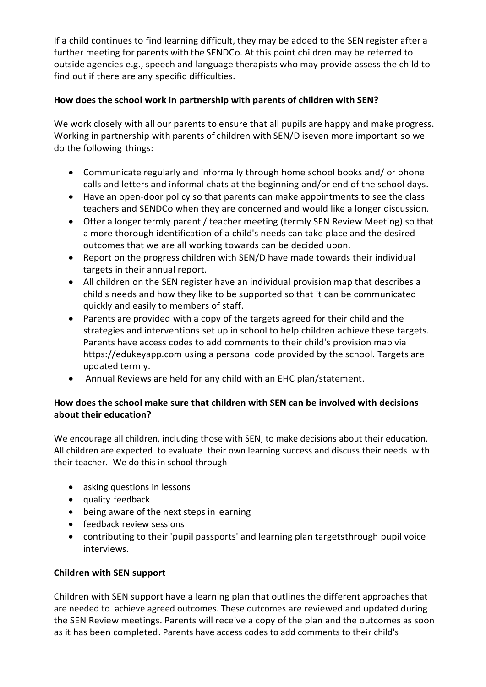If a child continues to find learning difficult, they may be added to the SEN register after a further meeting for parents with the SENDCo. At this point children may be referred to outside agencies e.g., speech and language therapists who may provide assess the child to find out if there are any specific difficulties.

## **How does the school work in partnership with parents of children with SEN?**

We work closely with all our parents to ensure that all pupils are happy and make progress. Working in partnership with parents of children with SEN/D iseven more important so we do the following things:

- Communicate regularly and informally through home school books and/ or phone calls and letters and informal chats at the beginning and/or end of the school days.
- Have an open-door policy so that parents can make appointments to see the class teachers and SENDCo when they are concerned and would like a longer discussion.
- Offer a longer termly parent / teacher meeting (termly SEN Review Meeting) so that a more thorough identification of a child's needs can take place and the desired outcomes that we are all working towards can be decided upon.
- Report on the progress children with SEN/D have made towards their individual targets in their annual report.
- All children on the SEN register have an individual provision map that describes a child's needs and how they like to be supported so that it can be communicated quickly and easily to members of staff.
- Parents are provided with a copy of the targets agreed for their child and the strategies and interventions set up in school to help children achieve these targets. Parents have access codes to add comments to their child's provision map via [https://edukeyapp.com](https://edukeyapp.com/) using a personal code provided by the school. Targets are updated termly.
- Annual Reviews are held for any child with an EHC plan/statement.

# **How does the school make sure that children with SEN can be involved with decisions about their education?**

We encourage all children, including those with SEN, to make decisions about their education. All children are expected to evaluate their own learning success and discuss their needs with their teacher. We do this in school through

- asking questions in lessons
- quality feedback
- being aware of the next steps in learning
- feedback review sessions
- contributing to their 'pupil passports' and learning plan targetsthrough pupil voice interviews.

# **Children with SEN support**

Children with SEN support have a learning plan that outlines the different approaches that are needed to achieve agreed outcomes. These outcomes are reviewed and updated during the SEN Review meetings. Parents will receive a copy of the plan and the outcomes as soon as it has been completed. Parents have access codes to add comments to their child's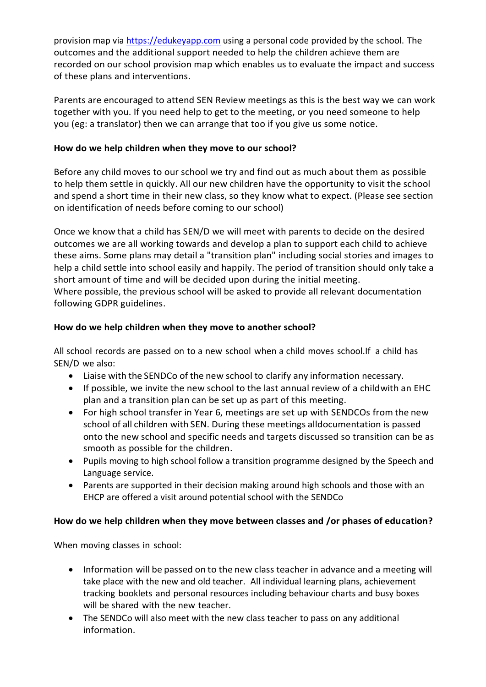provision map via [https://edukeyapp.com](https://edukeyapp.com/) using a personal code provided by the school. The outcomes and the additional support needed to help the children achieve them are recorded on our school provision map which enables us to evaluate the impact and success of these plans and interventions.

Parents are encouraged to attend SEN Review meetings as this is the best way we can work together with you. If you need help to get to the meeting, or you need someone to help you (eg: a translator) then we can arrange that too if you give us some notice.

## **How do we help children when they move to our school?**

Before any child moves to our school we try and find out as much about them as possible to help them settle in quickly. All our new children have the opportunity to visit the school and spend a short time in their new class, so they know what to expect. (Please see section on identification of needs before coming to our school)

Once we know that a child has SEN/D we will meet with parents to decide on the desired outcomes we are all working towards and develop a plan to support each child to achieve these aims. Some plans may detail a "transition plan" including social stories and images to help a child settle into school easily and happily. The period of transition should only take a short amount of time and will be decided upon during the initial meeting. Where possible, the previous school will be asked to provide all relevant documentation following GDPR guidelines.

## **How do we help children when they move to another school?**

All school records are passed on to a new school when a child moves school.If a child has SEN/D we also:

- Liaise with the SENDCo of the new school to clarify any information necessary.
- If possible, we invite the new school to the last annual review of a childwith an EHC plan and a transition plan can be set up as part of this meeting.
- For high school transfer in Year 6, meetings are set up with SENDCOs from the new school of all children with SEN. During these meetings alldocumentation is passed onto the new school and specific needs and targets discussed so transition can be as smooth as possible for the children.
- Pupils moving to high school follow a transition programme designed by the Speech and Language service.
- Parents are supported in their decision making around high schools and those with an EHCP are offered a visit around potential school with the SENDCo

# **How do we help children when they move between classes and /or phases of education?**

When moving classes in school:

- Information will be passed on to the new class teacher in advance and a meeting will take place with the new and old teacher. All individual learning plans, achievement tracking booklets and personal resources including behaviour charts and busy boxes will be shared with the new teacher.
- The SENDCo will also meet with the new class teacher to pass on any additional information.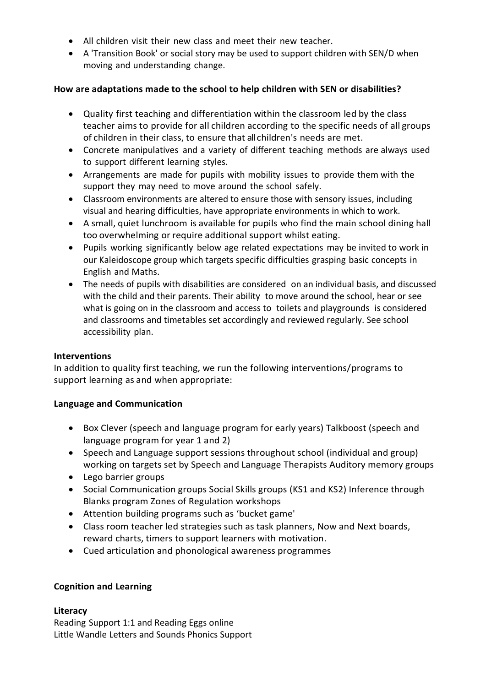- All children visit their new class and meet their new teacher.
- A 'Transition Book' or social story may be used to support children with SEN/D when moving and understanding change.

### **How are adaptations made to the school to help children with SEN or disabilities?**

- Quality first teaching and differentiation within the classroom led by the class teacher aims to provide for all children according to the specific needs of all groups of children in their class, to ensure that all children's needs are met.
- Concrete manipulatives and a variety of different teaching methods are always used to support different learning styles.
- Arrangements are made for pupils with mobility issues to provide them with the support they may need to move around the school safely.
- Classroom environments are altered to ensure those with sensory issues, including visual and hearing difficulties, have appropriate environments in which to work.
- A small, quiet lunchroom is available for pupils who find the main school dining hall too overwhelming or require additional support whilst eating.
- Pupils working significantly below age related expectations may be invited to work in our Kaleidoscope group which targets specific difficulties grasping basic concepts in English and Maths.
- The needs of pupils with disabilities are considered on an individual basis, and discussed with the child and their parents. Their ability to move around the school, hear or see what is going on in the classroom and access to toilets and playgrounds is considered and classrooms and timetables set accordingly and reviewed regularly. See school accessibility plan.

#### **Interventions**

In addition to quality first teaching, we run the following interventions/programs to support learning as and when appropriate:

### **Language and Communication**

- Box Clever (speech and language program for early years) Talkboost (speech and language program for year 1 and 2)
- Speech and Language support sessions throughout school (individual and group) working on targets set by Speech and Language Therapists Auditory memory groups
- Lego barrier groups
- Social Communication groups Social Skills groups (KS1 and KS2) Inference through Blanks program Zones of Regulation workshops
- Attention building programs such as 'bucket game'
- Class room teacher led strategies such as task planners, Now and Next boards, reward charts, timers to support learners with motivation.
- Cued articulation and phonological awareness programmes

### **Cognition and Learning**

#### **Literacy**

Reading Support 1:1 and Reading Eggs online Little Wandle Letters and Sounds Phonics Support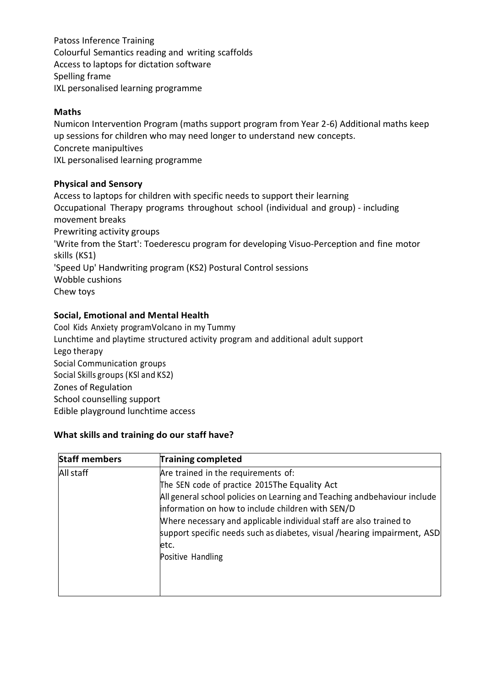Patoss Inference Training Colourful Semantics reading and writing scaffolds Access to laptops for dictation software Spelling frame IXL personalised learning programme

### **Maths**

Numicon Intervention Program (maths support program from Year 2-6) Additional maths keep up sessions for children who may need longer to understand new concepts. Concrete manipultives IXL personalised learning programme

### **Physical and Sensory**

Access to laptops for children with specific needs to support their learning Occupational Therapy programs throughout school (individual and group) - including movement breaks Prewriting activity groups 'Write from the Start': Toederescu program for developing Visuo-Perception and fine motor skills (KS1) 'Speed Up' Handwriting program (KS2) Postural Control sessions Wobble cushions Chew toys

### **Social, Emotional and Mental Health**

Cool Kids Anxiety programVolcano in my Tummy Lunchtime and playtime structured activity program and additional adult support Lego therapy Social Communication groups Social Skills groups (KSl and KS2) Zones of Regulation School counselling support Edible playground lunchtime access

### **What skills and training do our staff have?**

| <b>Staff members</b> | <b>Training completed</b>                                                                                                                                                                                                                                                                                        |
|----------------------|------------------------------------------------------------------------------------------------------------------------------------------------------------------------------------------------------------------------------------------------------------------------------------------------------------------|
| All staff            | Are trained in the requirements of:                                                                                                                                                                                                                                                                              |
|                      | The SEN code of practice 2015The Equality Act                                                                                                                                                                                                                                                                    |
|                      | All general school policies on Learning and Teaching andbehaviour include<br>information on how to include children with SEN/D<br>Where necessary and applicable individual staff are also trained to<br>support specific needs such as diabetes, visual / hearing impairment, ASD<br>letc.<br>Positive Handling |
|                      |                                                                                                                                                                                                                                                                                                                  |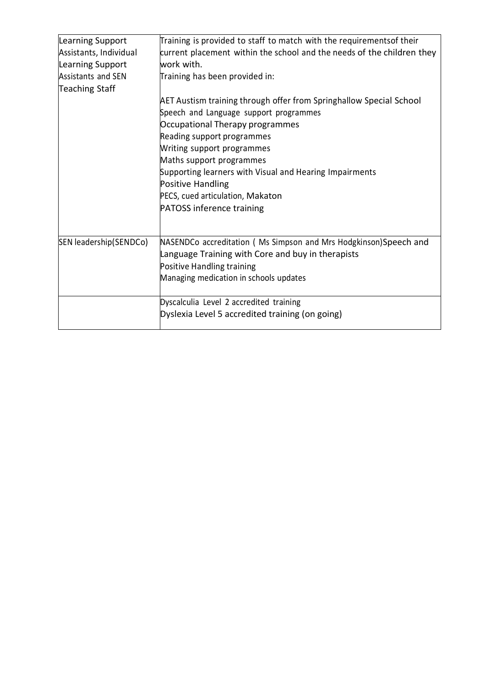| Learning Support<br>Assistants, Individual<br>Learning Support<br><b>Assistants and SEN</b> | Training is provided to staff to match with the requirementsof their<br>current placement within the school and the needs of the children they<br>work with.<br>Training has been provided in:                                                                                                                                                                                            |
|---------------------------------------------------------------------------------------------|-------------------------------------------------------------------------------------------------------------------------------------------------------------------------------------------------------------------------------------------------------------------------------------------------------------------------------------------------------------------------------------------|
| <b>Teaching Staff</b>                                                                       |                                                                                                                                                                                                                                                                                                                                                                                           |
|                                                                                             | AET Austism training through offer from Springhallow Special School<br>Speech and Language support programmes<br>Occupational Therapy programmes<br>Reading support programmes<br>Writing support programmes<br>Maths support programmes<br>Supporting learners with Visual and Hearing Impairments<br>Positive Handling<br>PECS, cued articulation, Makaton<br>PATOSS inference training |
| SEN leadership(SENDCo)                                                                      | NASENDCo accreditation (Ms Simpson and Mrs Hodgkinson)Speech and<br>Language Training with Core and buy in therapists<br>Positive Handling training<br>Managing medication in schools updates                                                                                                                                                                                             |
|                                                                                             | Dyscalculia Level 2 accredited training<br>Dyslexia Level 5 accredited training (on going)                                                                                                                                                                                                                                                                                                |
|                                                                                             |                                                                                                                                                                                                                                                                                                                                                                                           |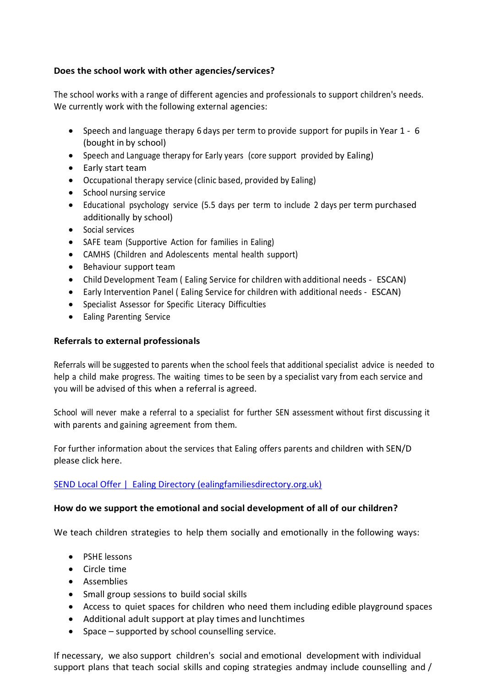## **Does the school work with other agencies/services?**

The school works with a range of different agencies and professionals to support children's needs. We currently work with the following external agencies:

- Speech and language therapy 6 days per term to provide support for pupils in Year 1 6 (bought in by school)
- Speech and Language therapy for Early years (core support provided by Ealing)
- Early start team
- Occupational therapy service (clinic based, provided by Ealing)
- School nursing service
- Educational psychology service (5.5 days per term to include 2 days per term purchased additionally by school)
- Social services
- SAFE team (Supportive Action for families in Ealing)
- CAMHS (Children and Adolescents mental health support)
- Behaviour support team
- Child Development Team ( Ealing Service for children with additional needs ESCAN)
- Early Intervention Panel ( Ealing Service for children with additional needs ESCAN)
- Specialist Assessor for Specific Literacy Difficulties
- Ealing Parenting Service

## **Referrals to external professionals**

Referrals will be suggested to parents when the school feels that additional specialist advice is needed to help a child make progress. The waiting times to be seen by a specialist vary from each service and you will be advised of this when a referral is agreed.

School will never make a referral to a specialist for further SEN assessment without first discussing it with parents and gaining agreement from them.

For further information about the services that Ealing offers parents and children with SEN/D please click here.

# SEND Local Offer | [Ealing Directory \(ealingfamiliesdirectory.org.uk\)](https://www.ealingfamiliesdirectory.org.uk/kb5/ealing/directory/localoffer.page?localofferchannelnew=0)

### **How do we support the emotional and social development of all of our children?**

We teach children strategies to help them socially and emotionally in the following ways:

- PSHE lessons
- Circle time
- Assemblies
- Small group sessions to build social skills
- Access to quiet spaces for children who need them including edible playground spaces
- Additional adult support at play times and lunchtimes
- Space supported by school counselling service.

If necessary, we also support children's social and emotional development with individual support plans that teach social skills and coping strategies andmay include counselling and /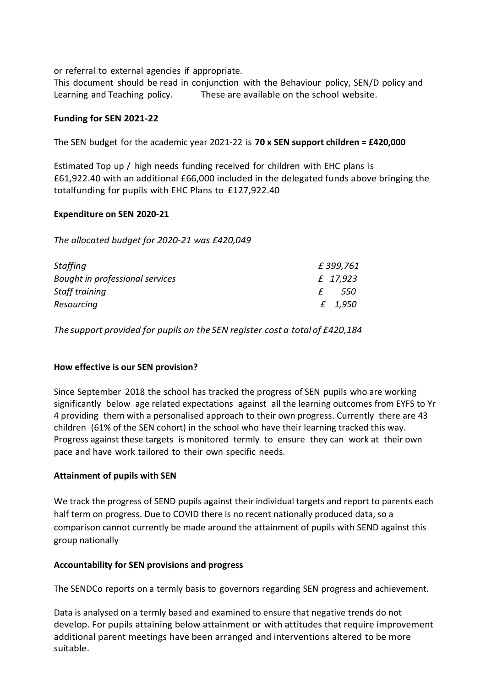or referral to external agencies if appropriate.

This document should be read in conjunction with the Behaviour policy, SEN/D policy and Learning and Teaching policy. These are available on the school website.

#### **Funding for SEN 2021-22**

The SEN budget for the academic year 2021-22 is **70 x SEN support children = £420,000**

Estimated Top up / high needs funding received for children with EHC plans is £61,922.40 with an additional £66,000 included in the delegated funds above bringing the totalfunding for pupils with EHC Plans to £127,922.40

#### **Expenditure on SEN 2020-21**

*The allocated budget for 2020-21 was £420,049*

| <b>Staffing</b>                 | £399,761 |
|---------------------------------|----------|
| Bought in professional services | £ 17,923 |
| Staff training                  | -550     |
| Resourcing                      | £ 1,950  |

*The support provided for pupils on the SEN register cost a total of £420,184*

#### **How effective is our SEN provision?**

Since September 2018 the school has tracked the progress of SEN pupils who are working significantly below age related expectations against all the learning outcomes from EYFS to Yr 4 providing them with a personalised approach to their own progress. Currently there are 43 children (61% of the SEN cohort) in the school who have their learning tracked this way. Progress against these targets is monitored termly to ensure they can work at their own pace and have work tailored to their own specific needs.

#### **Attainment of pupils with SEN**

We track the progress of SEND pupils against their individual targets and report to parents each half term on progress. Due to COVID there is no recent nationally produced data, so a comparison cannot currently be made around the attainment of pupils with SEND against this group nationally

#### **Accountability for SEN provisions and progress**

The SENDCo reports on a termly basis to governors regarding SEN progress and achievement.

Data is analysed on a termly based and examined to ensure that negative trends do not develop. For pupils attaining below attainment or with attitudes that require improvement additional parent meetings have been arranged and interventions altered to be more suitable.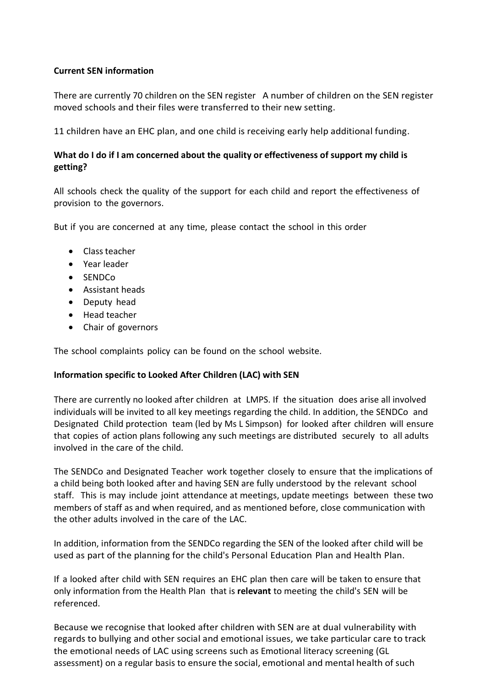### **Current SEN information**

There are currently 70 children on the SEN register A number of children on the SEN register moved schools and their files were transferred to their new setting.

11 children have an EHC plan, and one child is receiving early help additional funding.

### **What do I do if I am concerned about the quality or effectiveness of support my child is getting?**

All schools check the quality of the support for each child and report the effectiveness of provision to the governors.

But if you are concerned at any time, please contact the school in this order

- Classteacher
- Year leader
- SENDCo
- Assistant heads
- Deputy head
- Head teacher
- Chair of governors

The school complaints policy can be found on the school website.

#### **Information specific to Looked After Children (LAC) with SEN**

There are currently no looked after children at LMPS. If the situation does arise all involved individuals will be invited to all key meetings regarding the child. In addition, the SENDCo and Designated Child protection team (led by Ms L Simpson) for looked after children will ensure that copies of action plans following any such meetings are distributed securely to all adults involved in the care of the child.

The SENDCo and Designated Teacher work together closely to ensure that the implications of a child being both looked after and having SEN are fully understood by the relevant school staff. This is may include joint attendance at meetings, update meetings between these two members of staff as and when required, and as mentioned before, close communication with the other adults involved in the care of the LAC.

In addition, information from the SENDCo regarding the SEN of the looked after child will be used as part of the planning for the child's Personal Education Plan and Health Plan.

If a looked after child with SEN requires an EHC plan then care will be taken to ensure that only information from the Health Plan that is **relevant** to meeting the child's SEN will be referenced.

Because we recognise that looked after children with SEN are at dual vulnerability with regards to bullying and other social and emotional issues, we take particular care to track the emotional needs of LAC using screens such as Emotional literacy screening (GL assessment) on a regular basis to ensure the social, emotional and mental health of such